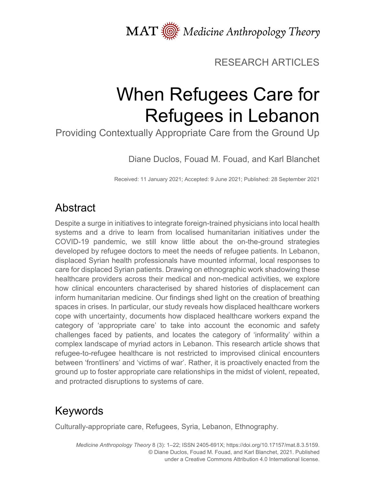MAT  $\overline{\text{W}}$  Medicine Anthropology Theory

### RESEARCH ARTICLES

# When Refugees Care for Refugees in Lebanon

Providing Contextually Appropriate Care from the Ground Up

Diane Duclos, Fouad M. Fouad, and Karl Blanchet

Received: 11 January 2021; Accepted: 9 June 2021; Published: 28 September 2021

### Abstract

Despite a surge in initiatives to integrate foreign-trained physicians into local health systems and a drive to learn from localised humanitarian initiatives under the COVID-19 pandemic, we still know little about the on-the-ground strategies developed by refugee doctors to meet the needs of refugee patients. In Lebanon, displaced Syrian health professionals have mounted informal, local responses to care for displaced Syrian patients. Drawing on ethnographic work shadowing these healthcare providers across their medical and non-medical activities, we explore how clinical encounters characterised by shared histories of displacement can inform humanitarian medicine. Our findings shed light on the creation of breathing spaces in crises. In particular, our study reveals how displaced healthcare workers cope with uncertainty, documents how displaced healthcare workers expand the category of 'appropriate care' to take into account the economic and safety challenges faced by patients, and locates the category of 'informality' within a complex landscape of myriad actors in Lebanon. This research article shows that refugee-to-refugee healthcare is not restricted to improvised clinical encounters between 'frontliners' and 'victims of war'. Rather, it is proactively enacted from the ground up to foster appropriate care relationships in the midst of violent, repeated, and protracted disruptions to systems of care.

# Keywords

Culturally-appropriate care, Refugees, Syria, Lebanon, Ethnography.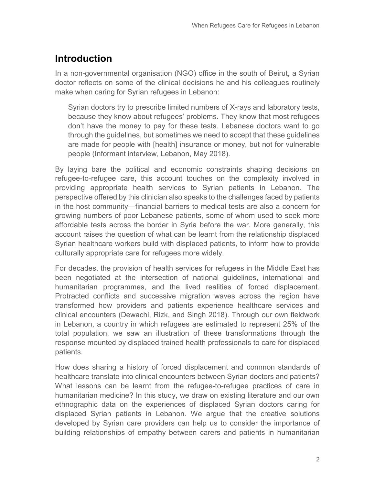### **Introduction**

In a non-governmental organisation (NGO) office in the south of Beirut, a Syrian doctor reflects on some of the clinical decisions he and his colleagues routinely make when caring for Syrian refugees in Lebanon:

Syrian doctors try to prescribe limited numbers of X-rays and laboratory tests, because they know about refugees' problems. They know that most refugees don't have the money to pay for these tests. Lebanese doctors want to go through the guidelines, but sometimes we need to accept that these guidelines are made for people with [health] insurance or money, but not for vulnerable people (Informant interview, Lebanon, May 2018).

By laying bare the political and economic constraints shaping decisions on refugee-to-refugee care, this account touches on the complexity involved in providing appropriate health services to Syrian patients in Lebanon. The perspective offered by this clinician also speaks to the challenges faced by patients in the host community—financial barriers to medical tests are also a concern for growing numbers of poor Lebanese patients, some of whom used to seek more affordable tests across the border in Syria before the war. More generally, this account raises the question of what can be learnt from the relationship displaced Syrian healthcare workers build with displaced patients, to inform how to provide culturally appropriate care for refugees more widely.

For decades, the provision of health services for refugees in the Middle East has been negotiated at the intersection of national guidelines, international and humanitarian programmes, and the lived realities of forced displacement. Protracted conflicts and successive migration waves across the region have transformed how providers and patients experience healthcare services and clinical encounters (Dewachi, Rizk, and Singh 2018). Through our own fieldwork in Lebanon, a country in which refugees are estimated to represent 25% of the total population, we saw an illustration of these transformations through the response mounted by displaced trained health professionals to care for displaced patients.

How does sharing a history of forced displacement and common standards of healthcare translate into clinical encounters between Syrian doctors and patients? What lessons can be learnt from the refugee-to-refugee practices of care in humanitarian medicine? In this study, we draw on existing literature and our own ethnographic data on the experiences of displaced Syrian doctors caring for displaced Syrian patients in Lebanon. We argue that the creative solutions developed by Syrian care providers can help us to consider the importance of building relationships of empathy between carers and patients in humanitarian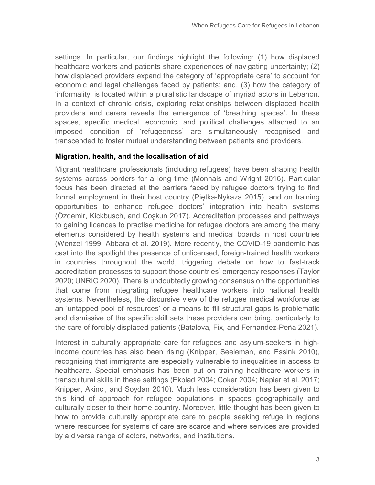settings. In particular, our findings highlight the following: (1) how displaced healthcare workers and patients share experiences of navigating uncertainty; (2) how displaced providers expand the category of 'appropriate care' to account for economic and legal challenges faced by patients; and, (3) how the category of 'informality' is located within a pluralistic landscape of myriad actors in Lebanon. In a context of chronic crisis, exploring relationships between displaced health providers and carers reveals the emergence of 'breathing spaces'. In these spaces, specific medical, economic, and political challenges attached to an imposed condition of 'refugeeness' are simultaneously recognised and transcended to foster mutual understanding between patients and providers.

#### **Migration, health, and the localisation of aid**

Migrant healthcare professionals (including refugees) have been shaping health systems across borders for a long time (Monnais and Wright 2016). Particular focus has been directed at the barriers faced by refugee doctors trying to find formal employment in their host country (Piętka-Nykaza 2015), and on training opportunities to enhance refugee doctors' integration into health systems (Özdemir, Kickbusch, and Coşkun 2017). Accreditation processes and pathways to gaining licences to practise medicine for refugee doctors are among the many elements considered by health systems and medical boards in host countries (Wenzel 1999; Abbara et al. 2019). More recently, the COVID-19 pandemic has cast into the spotlight the presence of unlicensed, foreign-trained health workers in countries throughout the world, triggering debate on how to fast-track accreditation processes to support those countries' emergency responses (Taylor 2020; UNRIC 2020). There is undoubtedly growing consensus on the opportunities that come from integrating refugee healthcare workers into national health systems. Nevertheless, the discursive view of the refugee medical workforce as an 'untapped pool of resources' or a means to fill structural gaps is problematic and dismissive of the specific skill sets these providers can bring, particularly to the care of forcibly displaced patients (Batalova, Fix, and Fernandez-Peña 2021).

Interest in culturally appropriate care for refugees and asylum-seekers in highincome countries has also been rising (Knipper, Seeleman, and Essink 2010), recognising that immigrants are especially vulnerable to inequalities in access to healthcare. Special emphasis has been put on training healthcare workers in transcultural skills in these settings (Ekblad 2004; Coker 2004; Napier et al. 2017; Knipper, Akinci, and Soydan 2010). Much less consideration has been given to this kind of approach for refugee populations in spaces geographically and culturally closer to their home country. Moreover, little thought has been given to how to provide culturally appropriate care to people seeking refuge in regions where resources for systems of care are scarce and where services are provided by a diverse range of actors, networks, and institutions.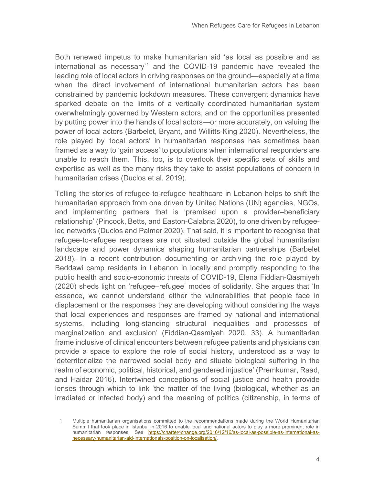Both renewed impetus to make humanitarian aid 'as local as possible and as international as necessary' [1](#page-3-0) and the COVID-19 pandemic have revealed the leading role of local actors in driving responses on the ground—especially at a time when the direct involvement of international humanitarian actors has been constrained by pandemic lockdown measures. These convergent dynamics have sparked debate on the limits of a vertically coordinated humanitarian system overwhelmingly governed by Western actors, and on the opportunities presented by putting power into the hands of local actors—or more accurately, on valuing the power of local actors (Barbelet, Bryant, and Willitts-King 2020). Nevertheless, the role played by 'local actors' in humanitarian responses has sometimes been framed as a way to 'gain access' to populations when international responders are unable to reach them. This, too, is to overlook their specific sets of skills and expertise as well as the many risks they take to assist populations of concern in humanitarian crises (Duclos et al. 2019).

Telling the stories of refugee-to-refugee healthcare in Lebanon helps to shift the humanitarian approach from one driven by United Nations (UN) agencies, NGOs, and implementing partners that is 'premised upon a provider–beneficiary relationship' (Pincock, Betts, and Easton-Calabria 2020), to one driven by refugeeled networks (Duclos and Palmer 2020). That said, it is important to recognise that refugee-to-refugee responses are not situated outside the global humanitarian landscape and power dynamics shaping humanitarian partnerships (Barbelet 2018). In a recent contribution documenting or archiving the role played by Beddawi camp residents in Lebanon in locally and promptly responding to the public health and socio-economic threats of COVID-19, Elena Fiddian-Qasmiyeh (2020) sheds light on 'refugee–refugee' modes of solidarity. She argues that 'In essence, we cannot understand either the vulnerabilities that people face in displacement or the responses they are developing without considering the ways that local experiences and responses are framed by national and international systems, including long-standing structural inequalities and processes of marginalization and exclusion' (Fiddian-Qasmiyeh 2020, 33). A humanitarian frame inclusive of clinical encounters between refugee patients and physicians can provide a space to explore the role of social history, understood as a way to 'deterritorialize the narrowed social body and situate biological suffering in the realm of economic, political, historical, and gendered injustice' (Premkumar, Raad, and Haidar 2016). Intertwined conceptions of social justice and health provide lenses through which to link 'the matter of the living (biological, whether as an irradiated or infected body) and the meaning of politics (citizenship, in terms of

<span id="page-3-0"></span><sup>1</sup> Multiple humanitarian organisations committed to the recommendations made during the World Humanitarian Summit that took place in Istanbul in 2016 to enable local and national actors to play a more prominent role in humanitarian responses. See [https://charter4change.org/2016/12/16/as-local-as-possible-as-international-as](https://charter4change.org/2016/12/16/as-local-as-possible-as-international-as-necessary-humanitarian-aid-internationals-position-on-localisation/)[necessary-humanitarian-aid-internationals-position-on-localisation/.](https://charter4change.org/2016/12/16/as-local-as-possible-as-international-as-necessary-humanitarian-aid-internationals-position-on-localisation/)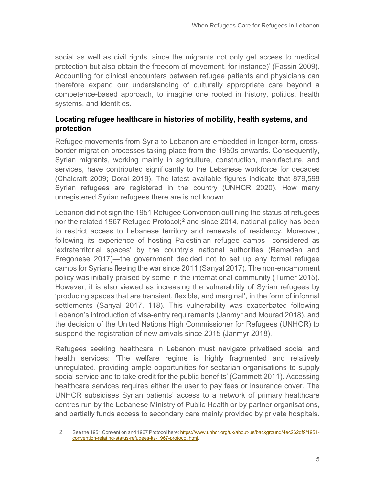social as well as civil rights, since the migrants not only get access to medical protection but also obtain the freedom of movement, for instance)' (Fassin 2009). Accounting for clinical encounters between refugee patients and physicians can therefore expand our understanding of culturally appropriate care beyond a competence-based approach, to imagine one rooted in history, politics, health systems, and identities.

#### **Locating refugee healthcare in histories of mobility, health systems, and protection**

Refugee movements from Syria to Lebanon are embedded in longer-term, crossborder migration processes taking place from the 1950s onwards. Consequently, Syrian migrants, working mainly in agriculture, construction, manufacture, and services, have contributed significantly to the Lebanese workforce for decades (Chalcraft 2009; Dorai 2018). The latest available figures indicate that 879,598 Syrian refugees are registered in the country (UNHCR 2020). How many unregistered Syrian refugees there are is not known.

Lebanon did not sign the 1951 Refugee Convention outlining the status of refugees nor the related 1967 Refugee Protocol; [2](#page-4-0) and since 2014, national policy has been to restrict access to Lebanese territory and renewals of residency. Moreover, following its experience of hosting Palestinian refugee camps—considered as 'extraterritorial spaces' by the country's national authorities (Ramadan and Fregonese 2017)—the government decided not to set up any formal refugee camps for Syrians fleeing the war since 2011 (Sanyal 2017). The non-encampment policy was initially praised by some in the international community (Turner 2015). However, it is also viewed as increasing the vulnerability of Syrian refugees by 'producing spaces that are transient, flexible, and marginal', in the form of informal settlements (Sanyal 2017, 118). This vulnerability was exacerbated following Lebanon's introduction of visa-entry requirements (Janmyr and Mourad 2018), and the decision of the United Nations High Commissioner for Refugees (UNHCR) to suspend the registration of new arrivals since 2015 (Janmyr 2018).

Refugees seeking healthcare in Lebanon must navigate privatised social and health services: 'The welfare regime is highly fragmented and relatively unregulated, providing ample opportunities for sectarian organisations to supply social service and to take credit for the public benefits' (Cammett 2011). Accessing healthcare services requires either the user to pay fees or insurance cover. The UNHCR subsidises Syrian patients' access to a network of primary healthcare centres run by the Lebanese Ministry of Public Health or by partner organisations, and partially funds access to secondary care mainly provided by private hospitals.

<span id="page-4-0"></span><sup>2</sup> See the 1951 Convention and 1967 Protocol here: [https://www.unhcr.org/uk/about-us/background/4ec262df9/1951](https://www.unhcr.org/uk/about-us/background/4ec262df9/1951-convention-relating-status-refugees-its-1967-protocol.html) [convention-relating-status-refugees-its-1967-protocol.html.](https://www.unhcr.org/uk/about-us/background/4ec262df9/1951-convention-relating-status-refugees-its-1967-protocol.html)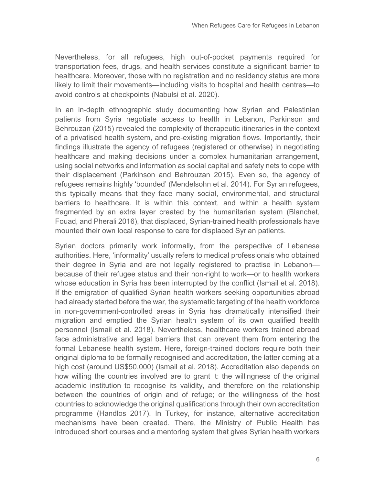Nevertheless, for all refugees, high out-of-pocket payments required for transportation fees, drugs, and health services constitute a significant barrier to healthcare. Moreover, those with no registration and no residency status are more likely to limit their movements—including visits to hospital and health centres—to avoid controls at checkpoints (Nabulsi et al. 2020).

In an in-depth ethnographic study documenting how Syrian and Palestinian patients from Syria negotiate access to health in Lebanon, Parkinson and Behrouzan (2015) revealed the complexity of therapeutic itineraries in the context of a privatised health system, and pre-existing migration flows. Importantly, their findings illustrate the agency of refugees (registered or otherwise) in negotiating healthcare and making decisions under a complex humanitarian arrangement, using social networks and information as social capital and safety nets to cope with their displacement (Parkinson and Behrouzan 2015). Even so, the agency of refugees remains highly 'bounded' (Mendelsohn et al. 2014). For Syrian refugees, this typically means that they face many social, environmental, and structural barriers to healthcare. It is within this context, and within a health system fragmented by an extra layer created by the humanitarian system (Blanchet, Fouad, and Pherali 2016), that displaced, Syrian-trained health professionals have mounted their own local response to care for displaced Syrian patients.

Syrian doctors primarily work informally, from the perspective of Lebanese authorities. Here, 'informality' usually refers to medical professionals who obtained their degree in Syria and are not legally registered to practise in Lebanon because of their refugee status and their non-right to work—or to health workers whose education in Syria has been interrupted by the conflict (Ismail et al. 2018). If the emigration of qualified Syrian health workers seeking opportunities abroad had already started before the war, the systematic targeting of the health workforce in non-government-controlled areas in Syria has dramatically intensified their migration and emptied the Syrian health system of its own qualified health personnel (Ismail et al. 2018). Nevertheless, healthcare workers trained abroad face administrative and legal barriers that can prevent them from entering the formal Lebanese health system. Here, foreign-trained doctors require both their original diploma to be formally recognised and accreditation, the latter coming at a high cost (around US\$50,000) (Ismail et al. 2018). Accreditation also depends on how willing the countries involved are to grant it: the willingness of the original academic institution to recognise its validity, and therefore on the relationship between the countries of origin and of refuge; or the willingness of the host countries to acknowledge the original qualifications through their own accreditation programme (Handlos 2017). In Turkey, for instance, alternative accreditation mechanisms have been created. There, the Ministry of Public Health has introduced short courses and a mentoring system that gives Syrian health workers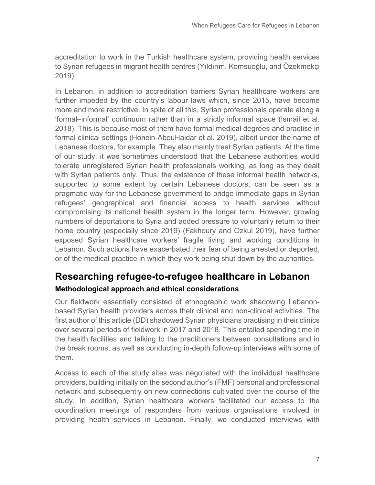accreditation to work in the Turkish healthcare system, providing health services to Syrian refugees in migrant health centres (Yıldırım, Komsuoğlu, and Özekmekçi 2019).

In Lebanon, in addition to accreditation barriers Syrian healthcare workers are further impeded by the country's labour laws which, since 2015, have become more and more restrictive. In spite of all this, Syrian professionals operate along a 'formal–informal' continuum rather than in a strictly informal space (Ismail et al. 2018). This is because most of them have formal medical degrees and practise in formal clinical settings (Honein-AbouHaidar et al. 2019), albeit under the name of Lebanese doctors, for example. They also mainly treat Syrian patients. At the time of our study, it was sometimes understood that the Lebanese authorities would tolerate unregistered Syrian health professionals working, as long as they dealt with Syrian patients only. Thus, the existence of these informal health networks, supported to some extent by certain Lebanese doctors, can be seen as a pragmatic way for the Lebanese government to bridge immediate gaps in Syrian refugees' geographical and financial access to health services without compromising its national health system in the longer term. However, growing numbers of deportations to Syria and added pressure to voluntarily return to their home country (especially since 2019) (Fakhoury and Ozkul 2019), have further exposed Syrian healthcare workers' fragile living and working conditions in Lebanon. Such actions have exacerbated their fear of being arrested or deported, or of the medical practice in which they work being shut down by the authorities.

#### **Researching refugee-to-refugee healthcare in Lebanon Methodological approach and ethical considerations**

Our fieldwork essentially consisted of ethnographic work shadowing Lebanonbased Syrian health providers across their clinical and non-clinical activities. The first author of this article (DD) shadowed Syrian physicians practising in their clinics over several periods of fieldwork in 2017 and 2018. This entailed spending time in the health facilities and talking to the practitioners between consultations and in the break rooms, as well as conducting in-depth follow-up interviews with some of them.

Access to each of the study sites was negotiated with the individual healthcare providers, building initially on the second author's (FMF) personal and professional network and subsequently on new connections cultivated over the course of the study. In addition, Syrian healthcare workers facilitated our access to the coordination meetings of responders from various organisations involved in providing health services in Lebanon. Finally, we conducted interviews with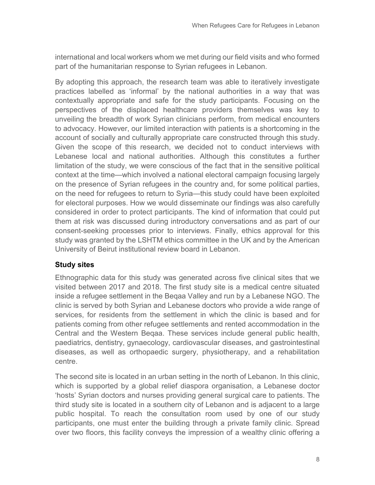international and local workers whom we met during our field visits and who formed part of the humanitarian response to Syrian refugees in Lebanon.

By adopting this approach, the research team was able to iteratively investigate practices labelled as 'informal' by the national authorities in a way that was contextually appropriate and safe for the study participants. Focusing on the perspectives of the displaced healthcare providers themselves was key to unveiling the breadth of work Syrian clinicians perform, from medical encounters to advocacy. However, our limited interaction with patients is a shortcoming in the account of socially and culturally appropriate care constructed through this study. Given the scope of this research, we decided not to conduct interviews with Lebanese local and national authorities. Although this constitutes a further limitation of the study, we were conscious of the fact that in the sensitive political context at the time—which involved a national electoral campaign focusing largely on the presence of Syrian refugees in the country and, for some political parties, on the need for refugees to return to Syria—this study could have been exploited for electoral purposes. How we would disseminate our findings was also carefully considered in order to protect participants. The kind of information that could put them at risk was discussed during introductory conversations and as part of our consent-seeking processes prior to interviews. Finally, ethics approval for this study was granted by the LSHTM ethics committee in the UK and by the American University of Beirut institutional review board in Lebanon.

#### **Study sites**

Ethnographic data for this study was generated across five clinical sites that we visited between 2017 and 2018. The first study site is a medical centre situated inside a refugee settlement in the Beqaa Valley and run by a Lebanese NGO. The clinic is served by both Syrian and Lebanese doctors who provide a wide range of services, for residents from the settlement in which the clinic is based and for patients coming from other refugee settlements and rented accommodation in the Central and the Western Beqaa. These services include general public health, paediatrics, dentistry, gynaecology, cardiovascular diseases, and gastrointestinal diseases, as well as orthopaedic surgery, physiotherapy, and a rehabilitation centre.

The second site is located in an urban setting in the north of Lebanon. In this clinic, which is supported by a global relief diaspora organisation, a Lebanese doctor 'hosts' Syrian doctors and nurses providing general surgical care to patients. The third study site is located in a southern city of Lebanon and is adjacent to a large public hospital. To reach the consultation room used by one of our study participants, one must enter the building through a private family clinic. Spread over two floors, this facility conveys the impression of a wealthy clinic offering a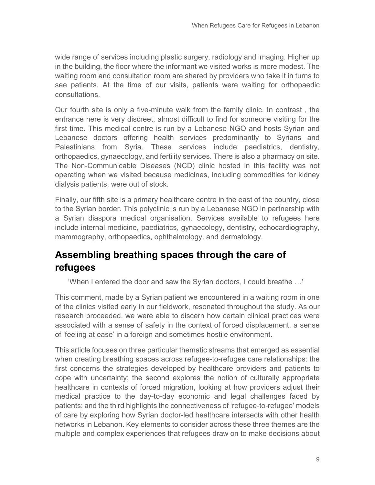wide range of services including plastic surgery, radiology and imaging. Higher up in the building, the floor where the informant we visited works is more modest. The waiting room and consultation room are shared by providers who take it in turns to see patients. At the time of our visits, patients were waiting for orthopaedic consultations.

Our fourth site is only a five-minute walk from the family clinic. In contrast , the entrance here is very discreet, almost difficult to find for someone visiting for the first time. This medical centre is run by a Lebanese NGO and hosts Syrian and Lebanese doctors offering health services predominantly to Syrians and Palestinians from Syria. These services include paediatrics, dentistry, orthopaedics, gynaecology, and fertility services. There is also a pharmacy on site. The Non-Communicable Diseases (NCD) clinic hosted in this facility was not operating when we visited because medicines, including commodities for kidney dialysis patients, were out of stock.

Finally, our fifth site is a primary healthcare centre in the east of the country, close to the Syrian border. This polyclinic is run by a Lebanese NGO in partnership with a Syrian diaspora medical organisation. Services available to refugees here include internal medicine, paediatrics, gynaecology, dentistry, echocardiography, mammography, orthopaedics, ophthalmology, and dermatology.

### **Assembling breathing spaces through the care of refugees**

'When I entered the door and saw the Syrian doctors, I could breathe …'

This comment, made by a Syrian patient we encountered in a waiting room in one of the clinics visited early in our fieldwork, resonated throughout the study. As our research proceeded, we were able to discern how certain clinical practices were associated with a sense of safety in the context of forced displacement, a sense of 'feeling at ease' in a foreign and sometimes hostile environment.

This article focuses on three particular thematic streams that emerged as essential when creating breathing spaces across refugee-to-refugee care relationships: the first concerns the strategies developed by healthcare providers and patients to cope with uncertainty; the second explores the notion of culturally appropriate healthcare in contexts of forced migration, looking at how providers adjust their medical practice to the day-to-day economic and legal challenges faced by patients; and the third highlights the connectiveness of 'refugee-to-refugee' models of care by exploring how Syrian doctor-led healthcare intersects with other health networks in Lebanon. Key elements to consider across these three themes are the multiple and complex experiences that refugees draw on to make decisions about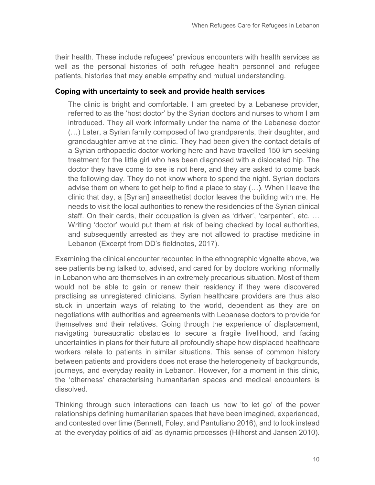their health. These include refugees' previous encounters with health services as well as the personal histories of both refugee health personnel and refugee patients, histories that may enable empathy and mutual understanding.

#### **Coping with uncertainty to seek and provide health services**

The clinic is bright and comfortable. I am greeted by a Lebanese provider, referred to as the 'host doctor' by the Syrian doctors and nurses to whom I am introduced. They all work informally under the name of the Lebanese doctor (…) Later, a Syrian family composed of two grandparents, their daughter, and granddaughter arrive at the clinic. They had been given the contact details of a Syrian orthopaedic doctor working here and have travelled 150 km seeking treatment for the little girl who has been diagnosed with a dislocated hip. The doctor they have come to see is not here, and they are asked to come back the following day. They do not know where to spend the night. Syrian doctors advise them on where to get help to find a place to stay (…). When I leave the clinic that day, a [Syrian] anaesthetist doctor leaves the building with me. He needs to visit the local authorities to renew the residencies of the Syrian clinical staff. On their cards, their occupation is given as 'driver', 'carpenter', etc. … Writing 'doctor' would put them at risk of being checked by local authorities, and subsequently arrested as they are not allowed to practise medicine in Lebanon (Excerpt from DD's fieldnotes, 2017).

Examining the clinical encounter recounted in the ethnographic vignette above, we see patients being talked to, advised, and cared for by doctors working informally in Lebanon who are themselves in an extremely precarious situation. Most of them would not be able to gain or renew their residency if they were discovered practising as unregistered clinicians. Syrian healthcare providers are thus also stuck in uncertain ways of relating to the world, dependent as they are on negotiations with authorities and agreements with Lebanese doctors to provide for themselves and their relatives. Going through the experience of displacement, navigating bureaucratic obstacles to secure a fragile livelihood, and facing uncertainties in plans for their future all profoundly shape how displaced healthcare workers relate to patients in similar situations. This sense of common history between patients and providers does not erase the heterogeneity of backgrounds, journeys, and everyday reality in Lebanon. However, for a moment in this clinic, the 'otherness' characterising humanitarian spaces and medical encounters is dissolved.

Thinking through such interactions can teach us how 'to let go' of the power relationships defining humanitarian spaces that have been imagined, experienced, and contested over time (Bennett, Foley, and Pantuliano 2016), and to look instead at 'the everyday politics of aid' as dynamic processes (Hilhorst and Jansen 2010).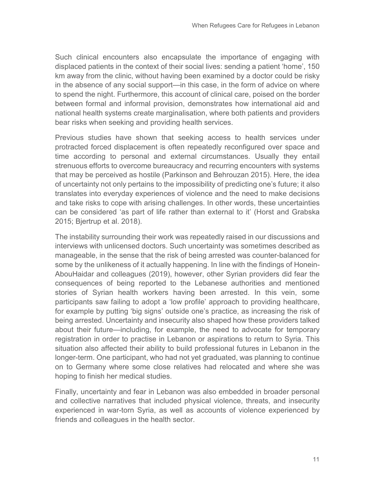Such clinical encounters also encapsulate the importance of engaging with displaced patients in the context of their social lives: sending a patient 'home', 150 km away from the clinic, without having been examined by a doctor could be risky in the absence of any social support—in this case, in the form of advice on where to spend the night. Furthermore, this account of clinical care, poised on the border between formal and informal provision, demonstrates how international aid and national health systems create marginalisation, where both patients and providers bear risks when seeking and providing health services.

Previous studies have shown that seeking access to health services under protracted forced displacement is often repeatedly reconfigured over space and time according to personal and external circumstances. Usually they entail strenuous efforts to overcome bureaucracy and recurring encounters with systems that may be perceived as hostile (Parkinson and Behrouzan 2015). Here, the idea of uncertainty not only pertains to the impossibility of predicting one's future; it also translates into everyday experiences of violence and the need to make decisions and take risks to cope with arising challenges. In other words, these uncertainties can be considered 'as part of life rather than external to it' (Horst and Grabska 2015; Bjertrup et al. 2018).

The instability surrounding their work was repeatedly raised in our discussions and interviews with unlicensed doctors. Such uncertainty was sometimes described as manageable, in the sense that the risk of being arrested was counter-balanced for some by the unlikeness of it actually happening. In line with the findings of Honein-AbouHaidar and colleagues (2019), however, other Syrian providers did fear the consequences of being reported to the Lebanese authorities and mentioned stories of Syrian health workers having been arrested. In this vein, some participants saw failing to adopt a 'low profile' approach to providing healthcare, for example by putting 'big signs' outside one's practice, as increasing the risk of being arrested. Uncertainty and insecurity also shaped how these providers talked about their future—including, for example, the need to advocate for temporary registration in order to practise in Lebanon or aspirations to return to Syria. This situation also affected their ability to build professional futures in Lebanon in the longer-term. One participant, who had not yet graduated, was planning to continue on to Germany where some close relatives had relocated and where she was hoping to finish her medical studies.

Finally, uncertainty and fear in Lebanon was also embedded in broader personal and collective narratives that included physical violence, threats, and insecurity experienced in war-torn Syria, as well as accounts of violence experienced by friends and colleagues in the health sector.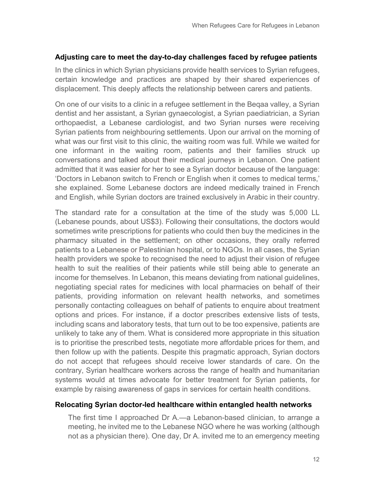#### **Adjusting care to meet the day-to-day challenges faced by refugee patients**

In the clinics in which Syrian physicians provide health services to Syrian refugees, certain knowledge and practices are shaped by their shared experiences of displacement. This deeply affects the relationship between carers and patients.

On one of our visits to a clinic in a refugee settlement in the Beqaa valley, a Syrian dentist and her assistant, a Syrian gynaecologist, a Syrian paediatrician, a Syrian orthopaedist, a Lebanese cardiologist, and two Syrian nurses were receiving Syrian patients from neighbouring settlements. Upon our arrival on the morning of what was our first visit to this clinic, the waiting room was full. While we waited for one informant in the waiting room, patients and their families struck up conversations and talked about their medical journeys in Lebanon. One patient admitted that it was easier for her to see a Syrian doctor because of the language: 'Doctors in Lebanon switch to French or English when it comes to medical terms,' she explained. Some Lebanese doctors are indeed medically trained in French and English, while Syrian doctors are trained exclusively in Arabic in their country.

The standard rate for a consultation at the time of the study was 5,000 LL (Lebanese pounds, about US\$3). Following their consultations, the doctors would sometimes write prescriptions for patients who could then buy the medicines in the pharmacy situated in the settlement; on other occasions, they orally referred patients to a Lebanese or Palestinian hospital, or to NGOs. In all cases, the Syrian health providers we spoke to recognised the need to adjust their vision of refugee health to suit the realities of their patients while still being able to generate an income for themselves. In Lebanon, this means deviating from national guidelines, negotiating special rates for medicines with local pharmacies on behalf of their patients, providing information on relevant health networks, and sometimes personally contacting colleagues on behalf of patients to enquire about treatment options and prices. For instance, if a doctor prescribes extensive lists of tests, including scans and laboratory tests, that turn out to be too expensive, patients are unlikely to take any of them. What is considered more appropriate in this situation is to prioritise the prescribed tests, negotiate more affordable prices for them, and then follow up with the patients. Despite this pragmatic approach, Syrian doctors do not accept that refugees should receive lower standards of care. On the contrary, Syrian healthcare workers across the range of health and humanitarian systems would at times advocate for better treatment for Syrian patients, for example by raising awareness of gaps in services for certain health conditions.

#### **Relocating Syrian doctor-led healthcare within entangled health networks**

The first time I approached Dr A.—a Lebanon-based clinician, to arrange a meeting, he invited me to the Lebanese NGO where he was working (although not as a physician there). One day, Dr A. invited me to an emergency meeting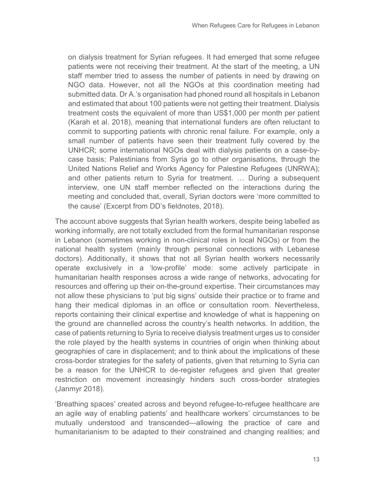on dialysis treatment for Syrian refugees. It had emerged that some refugee patients were not receiving their treatment. At the start of the meeting, a UN staff member tried to assess the number of patients in need by drawing on NGO data. However, not all the NGOs at this coordination meeting had submitted data. Dr A.'s organisation had phoned round all hospitals in Lebanon and estimated that about 100 patients were not getting their treatment. Dialysis treatment costs the equivalent of more than US\$1,000 per month per patient (Karah et al. 2018), meaning that international funders are often reluctant to commit to supporting patients with chronic renal failure. For example, only a small number of patients have seen their treatment fully covered by the UNHCR; some international NGOs deal with dialysis patients on a case-bycase basis; Palestinians from Syria go to other organisations, through the United Nations Relief and Works Agency for Palestine Refugees (UNRWA); and other patients return to Syria for treatment. … During a subsequent interview, one UN staff member reflected on the interactions during the meeting and concluded that, overall, Syrian doctors were 'more committed to the cause' (Excerpt from DD's fieldnotes, 2018).

The account above suggests that Syrian health workers, despite being labelled as working informally, are not totally excluded from the formal humanitarian response in Lebanon (sometimes working in non-clinical roles in local NGOs) or from the national health system (mainly through personal connections with Lebanese doctors). Additionally, it shows that not all Syrian health workers necessarily operate exclusively in a 'low-profile' mode: some actively participate in humanitarian health responses across a wide range of networks, advocating for resources and offering up their on-the-ground expertise. Their circumstances may not allow these physicians to 'put big signs' outside their practice or to frame and hang their medical diplomas in an office or consultation room. Nevertheless, reports containing their clinical expertise and knowledge of what is happening on the ground are channelled across the country's health networks. In addition, the case of patients returning to Syria to receive dialysis treatment urges us to consider the role played by the health systems in countries of origin when thinking about geographies of care in displacement; and to think about the implications of these cross-border strategies for the safety of patients, given that returning to Syria can be a reason for the UNHCR to de-register refugees and given that greater restriction on movement increasingly hinders such cross-border strategies (Janmyr 2018).

'Breathing spaces' created across and beyond refugee-to-refugee healthcare are an agile way of enabling patients' and healthcare workers' circumstances to be mutually understood and transcended—allowing the practice of care and humanitarianism to be adapted to their constrained and changing realities; and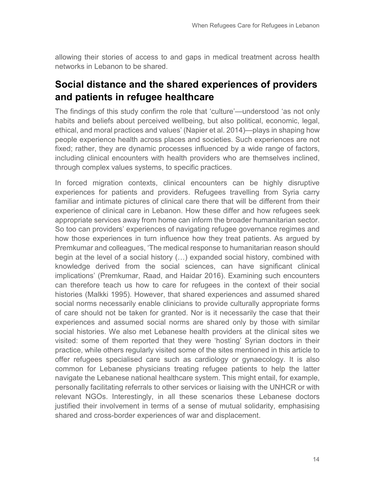allowing their stories of access to and gaps in medical treatment across health networks in Lebanon to be shared.

#### **Social distance and the shared experiences of providers and patients in refugee healthcare**

The findings of this study confirm the role that 'culture'—understood 'as not only habits and beliefs about perceived wellbeing, but also political, economic, legal, ethical, and moral practices and values' (Napier et al. 2014)—plays in shaping how people experience health across places and societies. Such experiences are not fixed; rather, they are dynamic processes influenced by a wide range of factors, including clinical encounters with health providers who are themselves inclined, through complex values systems, to specific practices.

In forced migration contexts, clinical encounters can be highly disruptive experiences for patients and providers. Refugees travelling from Syria carry familiar and intimate pictures of clinical care there that will be different from their experience of clinical care in Lebanon. How these differ and how refugees seek appropriate services away from home can inform the broader humanitarian sector. So too can providers' experiences of navigating refugee governance regimes and how those experiences in turn influence how they treat patients. As argued by Premkumar and colleagues, 'The medical response to humanitarian reason should begin at the level of a social history (…) expanded social history, combined with knowledge derived from the social sciences, can have significant clinical implications' (Premkumar, Raad, and Haidar 2016). Examining such encounters can therefore teach us how to care for refugees in the context of their social histories (Malkki 1995). However, that shared experiences and assumed shared social norms necessarily enable clinicians to provide culturally appropriate forms of care should not be taken for granted. Nor is it necessarily the case that their experiences and assumed social norms are shared only by those with similar social histories. We also met Lebanese health providers at the clinical sites we visited: some of them reported that they were 'hosting' Syrian doctors in their practice, while others regularly visited some of the sites mentioned in this article to offer refugees specialised care such as cardiology or gynaecology. It is also common for Lebanese physicians treating refugee patients to help the latter navigate the Lebanese national healthcare system. This might entail, for example, personally facilitating referrals to other services or liaising with the UNHCR or with relevant NGOs. Interestingly, in all these scenarios these Lebanese doctors justified their involvement in terms of a sense of mutual solidarity, emphasising shared and cross-border experiences of war and displacement.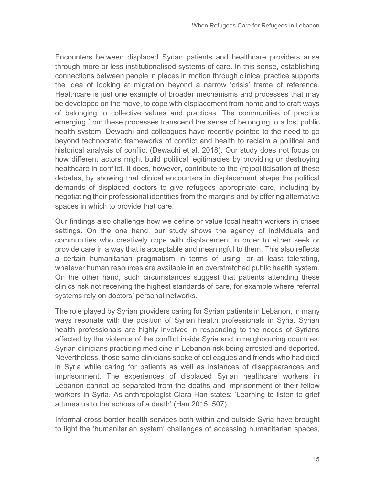Encounters between displaced Syrian patients and healthcare providers arise through more or less institutionalised systems of care. In this sense, establishing connections between people in places in motion through clinical practice supports the idea of looking at migration beyond a narrow 'crisis' frame of reference. Healthcare is just one example of broader mechanisms and processes that may be developed on the move, to cope with displacement from home and to craft ways of belonging to collective values and practices. The communities of practice emerging from these processes transcend the sense of belonging to a lost public health system. Dewachi and colleagues have recently pointed to the need to go beyond technocratic frameworks of conflict and health to reclaim a political and historical analysis of conflict (Dewachi et al. 2018). Our study does not focus on how different actors might build political legitimacies by providing or destroying healthcare in conflict. It does, however, contribute to the (re)politicisation of these debates, by showing that clinical encounters in displacement shape the political demands of displaced doctors to give refugees appropriate care, including by negotiating their professional identities from the margins and by offering alternative spaces in which to provide that care.

Our findings also challenge how we define or value local health workers in crises settings. On the one hand, our study shows the agency of individuals and communities who creatively cope with displacement in order to either seek or provide care in a way that is acceptable and meaningful to them. This also reflects a certain humanitarian pragmatism in terms of using, or at least tolerating, whatever human resources are available in an overstretched public health system. On the other hand, such circumstances suggest that patients attending these clinics risk not receiving the highest standards of care, for example where referral systems rely on doctors' personal networks.

The role played by Syrian providers caring for Syrian patients in Lebanon, in many ways resonate with the position of Syrian health professionals in Syria. Syrian health professionals are highly involved in responding to the needs of Syrians affected by the violence of the conflict inside Syria and in neighbouring countries. Syrian clinicians practicing medicine in Lebanon risk being arrested and deported. Nevertheless, those same clinicians spoke of colleagues and friends who had died in Syria while caring for patients as well as instances of disappearances and imprisonment. The experiences of displaced Syrian healthcare workers in Lebanon cannot be separated from the deaths and imprisonment of their fellow workers in Syria. As anthropologist Clara Han states: 'Learning to listen to grief attunes us to the echoes of a death' (Han 2015, 507).

Informal cross-border health services both within and outside Syria have brought to light the 'humanitarian system' challenges of accessing humanitarian spaces,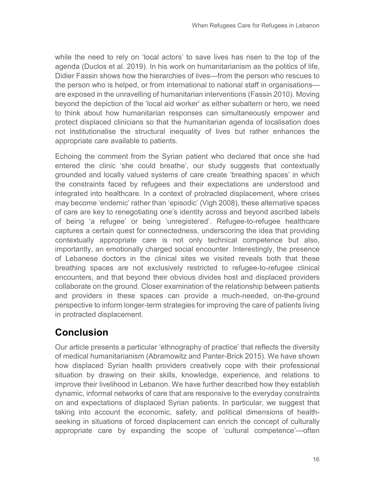while the need to rely on 'local actors' to save lives has risen to the top of the agenda (Duclos et al. 2019). In his work on humanitarianism as the politics of life, Didier Fassin shows how the hierarchies of lives—from the person who rescues to the person who is helped, or from international to national staff in organisations are exposed in the unravelling of humanitarian interventions (Fassin 2010). Moving beyond the depiction of the 'local aid worker' as either subaltern or hero, we need to think about how humanitarian responses can simultaneously empower and protect displaced clinicians so that the humanitarian agenda of localisation does not institutionalise the structural inequality of lives but rather enhances the appropriate care available to patients.

Echoing the comment from the Syrian patient who declared that once she had entered the clinic 'she could breathe', our study suggests that contextually grounded and locally valued systems of care create 'breathing spaces' in which the constraints faced by refugees and their expectations are understood and integrated into healthcare. In a context of protracted displacement, where crises may become 'endemic' rather than 'episodic' (Vigh 2008), these alternative spaces of care are key to renegotiating one's identity across and beyond ascribed labels of being 'a refugee' or being 'unregistered'. Refugee-to-refugee healthcare captures a certain quest for connectedness, underscoring the idea that providing contextually appropriate care is not only technical competence but also, importantly, an emotionally charged social encounter. Interestingly, the presence of Lebanese doctors in the clinical sites we visited reveals both that these breathing spaces are not exclusively restricted to refugee-to-refugee clinical encounters, and that beyond their obvious divides host and displaced providers collaborate on the ground. Closer examination of the relationship between patients and providers in these spaces can provide a much-needed, on-the-ground perspective to inform longer-term strategies for improving the care of patients living in protracted displacement.

### **Conclusion**

Our article presents a particular 'ethnography of practice' that reflects the diversity of medical humanitarianism (Abramowitz and Panter-Brick 2015). We have shown how displaced Syrian health providers creatively cope with their professional situation by drawing on their skills, knowledge, experience, and relations to improve their livelihood in Lebanon. We have further described how they establish dynamic, informal networks of care that are responsive to the everyday constraints on and expectations of displaced Syrian patients. In particular, we suggest that taking into account the economic, safety, and political dimensions of healthseeking in situations of forced displacement can enrich the concept of culturally appropriate care by expanding the scope of 'cultural competence'—often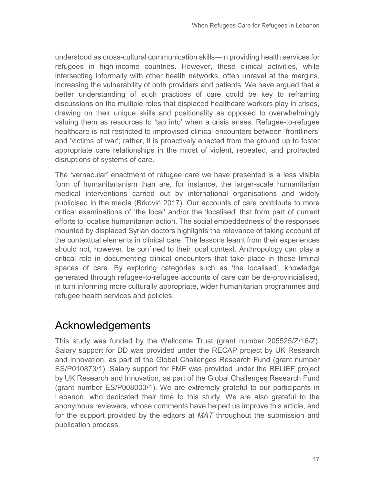understood as cross-cultural communication skills—in providing health services for refugees in high-income countries. However, these clinical activities, while intersecting informally with other health networks, often unravel at the margins, increasing the vulnerability of both providers and patients. We have argued that a better understanding of such practices of care could be key to reframing discussions on the multiple roles that displaced healthcare workers play in crises, drawing on their unique skills and positionality as opposed to overwhelmingly valuing them as resources to 'tap into' when a crisis arises. Refugee-to-refugee healthcare is not restricted to improvised clinical encounters between 'frontliners' and 'victims of war'; rather, it is proactively enacted from the ground up to foster appropriate care relationships in the midst of violent, repeated, and protracted disruptions of systems of care.

The 'vernacular' enactment of refugee care we have presented is a less visible form of humanitarianism than are, for instance, the larger-scale humanitarian medical interventions carried out by international organisations and widely publicised in the media (Brković 2017). Our accounts of care contribute to more critical examinations of 'the local' and/or the 'localised' that form part of current efforts to localise humanitarian action. The social embeddedness of the responses mounted by displaced Syrian doctors highlights the relevance of taking account of the contextual elements in clinical care. The lessons learnt from their experiences should not, however, be confined to their local context. Anthropology can play a critical role in documenting clinical encounters that take place in these liminal spaces of care. By exploring categories such as 'the localised', knowledge generated through refugee-to-refugee accounts of care can be de-provincialised, in turn informing more culturally appropriate, wider humanitarian programmes and refugee health services and policies.

## Acknowledgements

This study was funded by the Wellcome Trust (grant number 205525/Z/16/Z). Salary support for DD was provided under the RECAP project by UK Research and Innovation, as part of the Global Challenges Research Fund (grant number ES/P010873/1). Salary support for FMF was provided under the RELIEF project by UK Research and Innovation, as part of the Global Challenges Research Fund (grant number ES/P008003/1). We are extremely grateful to our participants in Lebanon, who dedicated their time to this study. We are also grateful to the anonymous reviewers, whose comments have helped us improve this article, and for the support provided by the editors at *MAT* throughout the submission and publication process.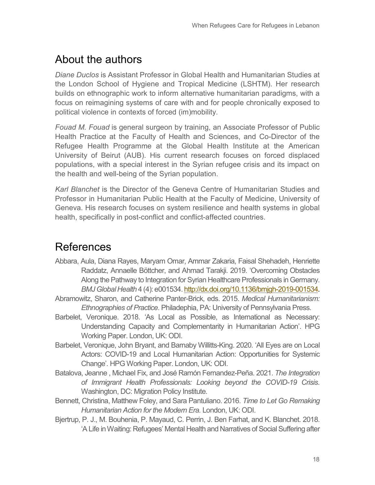# About the authors

*Diane Duclos* is Assistant Professor in Global Health and Humanitarian Studies at the London School of Hygiene and Tropical Medicine (LSHTM). Her research builds on ethnographic work to inform alternative humanitarian paradigms, with a focus on reimagining systems of care with and for people chronically exposed to political violence in contexts of forced (im)mobility.

*Fouad M. Fouad* is general surgeon by training, an Associate Professor of Public Health Practice at the Faculty of Health and Sciences, and Co-Director of the Refugee Health Programme at the Global Health Institute at the American University of Beirut (AUB). His current research focuses on forced displaced populations, with a special interest in the Syrian refugee crisis and its impact on the health and well-being of the Syrian population.

*Karl Blanchet* is the Director of the Geneva Centre of Humanitarian Studies and Professor in Humanitarian Public Health at the Faculty of Medicine, University of Geneva. His research focuses on system resilience and health systems in global health, specifically in post-conflict and conflict-affected countries.

### References

- Abbara, Aula, Diana Rayes, Maryam Omar, Ammar Zakaria, Faisal Shehadeh, Henriette Raddatz, Annaelle Böttcher, and Ahmad Tarakji. 2019. 'Overcoming Obstacles Along the Pathway to Integration for Syrian Healthcare Professionals in Germany. *BMJ Global Health* 4 (4): e001534[. http://dx.doi.org/10.1136/bmjgh-2019-001534.](http://dx.doi.org/10.1136/bmjgh-2019-001534)
- Abramowitz, Sharon, and Catherine Panter-Brick, eds. 2015. *Medical Humanitarianism: Ethnographies of Practice*. Philadephia, PA: University of Pennsylvania Press.
- Barbelet, Veronique. 2018. 'As Local as Possible, as International as Necessary: Understanding Capacity and Complementarity in Humanitarian Action'. HPG Working Paper. London, UK: ODI.
- Barbelet, Veronique, John Bryant, and Barnaby Willitts-King. 2020*.* 'All Eyes are on Local Actors: COVID-19 and Local Humanitarian Action: Opportunities for Systemic Change'*.* HPG Working Paper. London, UK: ODI.
- Batalova, Jeanne , Michael Fix, and José Ramón Fernandez-Peña. 2021. *The Integration of Immigrant Health Professionals: Looking beyond the COVID-19 Crisis*. Washington, DC: Migration Policy Institute.
- Bennett, Christina, Matthew Foley, and Sara Pantuliano. 2016. *Time to Let Go Remaking Humanitarian Action for the Modern Era.* London, UK: ODI.
- Bjertrup, P. J., M. Bouhenia, P. Mayaud, C. Perrin, J. Ben Farhat, and K. Blanchet. 2018. 'A Life in Waiting: Refugees' Mental Health and Narratives of Social Suffering after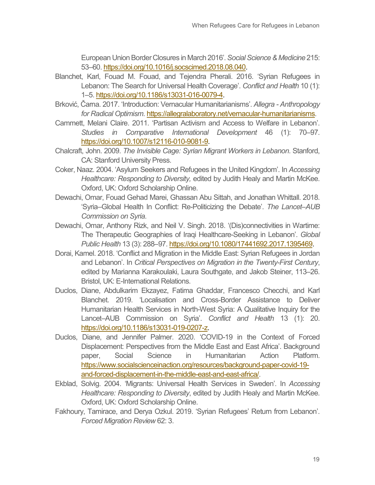European Union Border Closures in March 2016'. *Social Science & Medicine* 215: 53–60. [https://doi.org/10.1016/j.socscimed.2018.08.040.](https://doi.org/10.1016/j.socscimed.2018.08.040)

- Blanchet, Karl, Fouad M. Fouad, and Tejendra Pherali. 2016. 'Syrian Refugees in Lebanon: The Search for Universal Health Coverage'. *Conflict and Health* 10 (1): 1–5[. https://doi.org/10.1186/s13031-016-0079-4.](https://doi.org/10.1186/s13031-016-0079-4)
- Brković, Čarna. 2017. 'Introduction: Vernacular Humanitarianisms'. *Allegra - Anthropology for Radical Optimism*[. https://allegralaboratory.net/vernacular-humanitarianisms.](https://allegralaboratory.net/vernacular-humanitarianisms)
- Cammett, Melani Claire. 2011. 'Partisan Activism and Access to Welfare in Lebanon'. *Studies in Comparative International Development* 46 (1): 70–97. [https://doi.org/10.1007/s12116-010-9081-9.](https://doi.org/10.1007/s12116-010-9081-9)
- Chalcraft, John. 2009. *The Invisible Cage: Syrian Migrant Workers in Lebanon*. Stanford, CA: Stanford University Press.
- Coker, Naaz. 2004. 'Asylum Seekers and Refugees in the United Kingdom'. In *Accessing Healthcare: Responding to Diversity,* edited by Judith Healy and Martin McKee. Oxford, UK: Oxford Scholarship Online.
- Dewachi, Omar, Fouad Gehad Marei, Ghassan Abu Sittah, and Jonathan Whittall. 2018. 'Syria–Global Health In Conflict: Re-Politicizing the Debate'. *The Lancet–AUB Commission on Syria*.
- Dewachi, Omar, Anthony Rizk, and Neil V. Singh. 2018. '(Dis)connectivities in Wartime: The Therapeutic Geographies of Iraqi Healthcare-Seeking in Lebanon'. *Global Public Health* 13 (3): 288–97[. https://doi.org/10.1080/17441692.2017.1395469.](https://doi.org/10.1080/17441692.2017.1395469)
- Dorai, Kamel. 2018. 'Conflict and Migration in the Middle East: Syrian Refugees in Jordan and Lebanon'. In *Critical Perspectives on Migration in the Twenty-First Century*, edited by Marianna Karakoulaki, Laura Southgate, and Jakob Steiner, 113–26. Bristol, UK: E-International Relations.
- Duclos, Diane, Abdulkarim Ekzayez, Fatima Ghaddar, Francesco Checchi, and Karl Blanchet. 2019. 'Localisation and Cross-Border Assistance to Deliver Humanitarian Health Services in North-West Syria: A Qualitative Inquiry for the Lancet–AUB Commission on Syria'. *Conflict and Health* 13 (1): 20. [https://doi.org/10.1186/s13031-019-0207-z.](https://doi.org/10.1186/s13031-019-0207-z)
- Duclos, Diane, and Jennifer Palmer. 2020. 'COVID-19 in the Context of Forced Displacement: Perspectives from the Middle East and East Africa'. Background paper, Social Science in Humanitarian Action Platform. [https://www.socialscienceinaction.org/resources/background-paper-covid-19](https://www.socialscienceinaction.org/resources/background-paper-covid-19-and-forced-displacement-in-the-middle-east-and-east-africa/) [and-forced-displacement-in-the-middle-east-and-east-africa/.](https://www.socialscienceinaction.org/resources/background-paper-covid-19-and-forced-displacement-in-the-middle-east-and-east-africa/)
- Ekblad, Solvig. 2004. 'Migrants: Universal Health Services in Sweden'. In *Accessing Healthcare: Responding to Diversity*, edited by Judith Healy and Martin McKee. Oxford, UK: Oxford Scholarship Online.
- Fakhoury, Tamirace, and Derya Ozkul. 2019. 'Syrian Refugees' Return from Lebanon'. *Forced Migration Review* 62: 3.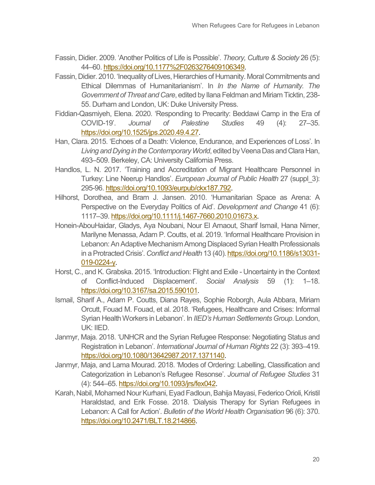- Fassin, Didier. 2009. 'Another Politics of Life is Possible'. *Theory, Culture & Society* 26 (5): 44–60. [https://doi.org/10.1177%2F0263276409106349.](https://doi.org/10.1177%2F0263276409106349)
- Fassin, Didier. 2010. 'Inequality of Lives, Hierarchies of Humanity. Moral Commitments and Ethical Dilemmas of Humanitarianism'. In *In the Name of Humanity. The Government of Threat and Care*, edited by Ilana Feldman and Miriam Ticktin, 238- 55. Durham and London, UK: Duke University Press.
- Fiddian-Qasmiyeh, Elena. 2020. 'Responding to Precarity: Beddawi Camp in the Era of COVID-19'. *Journal of Palestine Studies* 49 (4): 27–35. [https://doi.org/10.1525/jps.2020.49.4.27.](https://doi.org/10.1525/jps.2020.49.4.27)
- Han, Clara. 2015. 'Echoes of a Death: Violence, Endurance, and Experiences of Loss'. In *Living and Dying in the Contemporary World*, edited by Veena Das and Clara Han, 493–509. Berkeley, CA: University California Press.
- Handlos, L. N. 2017. 'Training and Accreditation of Migrant Healthcare Personnel in Turkey: Line Neerup Handlos'. *European Journal of Public Health* 27 (suppl\_3): 295-96[. https://doi.org/10.1093/eurpub/ckx187.792.](https://doi.org/10.1093/eurpub/ckx187.792)
- Hilhorst, Dorothea, and Bram J. Jansen. 2010. 'Humanitarian Space as Arena: A Perspective on the Everyday Politics of Aid'. *Development and Change* 41 (6): 1117–39[. https://doi.org/10.1111/j.1467-7660.2010.01673.x.](https://doi.org/10.1111/j.1467-7660.2010.01673.x)
- Honein-AbouHaidar, Gladys, Aya Noubani, Nour El Arnaout, Sharif Ismail, Hana Nimer, Marilyne Menassa, Adam P. Coutts, et al. 2019. 'Informal Healthcare Provision in Lebanon: An Adaptive Mechanism Among Displaced Syrian Health Professionals in a Protracted Crisis'. *Conflict and Health* 13 (40)[. https://doi.org/10.1186/s13031-](https://doi.org/10.1186/s13031-019-0224-y) [019-0224-y.](https://doi.org/10.1186/s13031-019-0224-y)
- Horst, C., and K. Grabska. 2015. 'Introduction: Flight and Exile Uncertainty in the Context of Conflict-Induced Displacement'. *Social Analysis* 59 (1): 1–18. https://doi.or[g/10.3167/sa.2015.590101.](http://dx.doi.org/10.3167/sa.2015.590101)
- Ismail, Sharif A., Adam P. Coutts, Diana Rayes, Sophie Roborgh, Aula Abbara, Miriam Orcutt, Fouad M. Fouad, et al. 2018. 'Refugees, Healthcare and Crises: Informal Syrian Health Workers in Lebanon'. In *IIED's Human Settlements Group*. London, UK: IIED.
- Janmyr, Maja. 2018. 'UNHCR and the Syrian Refugee Response: Negotiating Status and Registration in Lebanon'. *International Journal of Human Rights* 22 (3): 393–419. [https://doi.org/10.1080/13642987.2017.1371140.](https://doi.org/10.1080/13642987.2017.1371140)
- Janmyr, Maja, and Lama Mourad. 2018. 'Modes of Ordering: Labelling, Classification and Categorization in Lebanon's Refugee Resonse'. *Journal of Refugee Studies* 31 (4): 544–65. [https://doi.org/10.1093/jrs/fex042.](https://doi.org/10.1093/jrs/fex042)
- Karah, Nabil, Mohamed Nour Kurhani, Eyad Fadloun, Bahija Mayasi, Federico Orioli, Kristil Haraldstad, and Erik Fosse. 2018. 'Dialysis Therapy for Syrian Refugees in Lebanon: A Call for Action'. *Bulletin of the World Health Organisation* 96 (6): 370. https://doi.or[g/10.2471/BLT.18.214866.](https://dx.doi.org/10.2471%2FBLT.18.214866)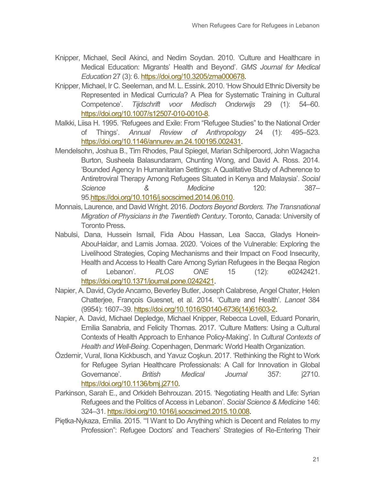- Knipper, Michael, Secil Akinci, and Nedim Soydan. 2010. 'Culture and Healthcare in Medical Education: Migrants' Health and Beyond'. *GMS Journal for Medical Education* 27 (3): 6. https://doi.org/10.3205/zma000678.
- Knipper, Michael, Ir C. Seeleman, and M. L. Essink. 2010. 'How Should Ethnic Diversity be Represented in Medical Curricula? A Plea for Systematic Training in Cultural Competence'. *Tijdschrift voor Medisch Onderwijs* 29 (1): 54–60. [https://doi.org/10.1007/s12507-010-0010-8.](https://doi.org/10.1007/s12507-010-0010-8)
- Malkki, Liisa H. 1995. 'Refugees and Exile: From "Refugee Studies" to the National Order of Things'. *Annual Review of Anthropology* 24 (1): 495–523. [https://doi.org/10.1146/annurev.an.24.100195.002431.](https://doi.org/10.1146/annurev.an.24.100195.002431)
- Mendelsohn, Joshua B., Tim Rhodes, Paul Spiegel, Marian Schilperoord, John Wagacha Burton, Susheela Balasundaram, Chunting Wong, and David A. Ross. 2014. 'Bounded Agency In Humanitarian Settings: A Qualitative Study of Adherence to Antiretroviral Therapy Among Refugees Situated in Kenya and Malaysia'. *Social Science & Medicine* 120: 387– 9[5.https://doi.org/10.1016/j.socscimed.2014.06.010.](https://doi.org/10.1016/j.socscimed.2014.06.010)
- Monnais, Laurence, and David Wright. 2016. *Doctors Beyond Borders. The Transnational Migration of Physicians in the Twentieth Century*. Toronto, Canada: University of Toronto Press.
- Nabulsi, Dana, Hussein Ismail, Fida Abou Hassan, Lea Sacca, Gladys Honein-AbouHaidar, and Lamis Jomaa. 2020. 'Voices of the Vulnerable: Exploring the Livelihood Strategies, Coping Mechanisms and their Impact on Food Insecurity, Health and Access to Health Care Among Syrian Refugees in the Beqaa Region of Lebanon'. *PLOS ONE* 15 (12): e0242421. [https://doi.org/10.1371/journal.pone.0242421.](https://doi.org/10.1371/journal.pone.0242421)
- Napier, A. David, Clyde Ancarno, Beverley Butler, Joseph Calabrese, Angel Chater, Helen Chatterjee, François Guesnet, et al. 2014. 'Culture and Health'. *Lancet* 384 (9954): 1607–39. [https://doi.org/10.1016/S0140-6736\(14\)61603-2.](https://doi.org/10.1016/S0140-6736(14)61603-2)
- Napier, A. David, Michael Depledge, Michael Knipper, Rebecca Lovell, Eduard Ponarin, Emilia Sanabria, and Felicity Thomas. 2017. 'Culture Matters: Using a Cultural Contexts of Health Approach to Enhance Policy-Making'. In *Cultural Contexts of Health and Well-Being*. Copenhagen, Denmark: World Health Organization.
- Özdemir, Vural, Ilona Kickbusch, and Yavuz Coşkun. 2017. 'Rethinking the Right to Work for Refugee Syrian Healthcare Professionals: A Call for Innovation in Global Governance'. *British Medical Journal* 357: j2710. [https://doi.org/10.1136/bmj.j2710.](https://doi.org/10.1136/bmj.j2710)
- Parkinson, Sarah E., and Orkideh Behrouzan. 2015. 'Negotiating Health and Life: Syrian Refugees and the Politics of Access in Lebanon'. *Social Science & Medicine* 146: 324–31[. https://doi.org/10.1016/j.socscimed.2015.10.008.](https://doi.org/10.1016/j.socscimed.2015.10.008)
- Piętka-Nykaza, Emilia. 2015. '"I Want to Do Anything which is Decent and Relates to my Profession": Refugee Doctors' and Teachers' Strategies of Re-Entering Their